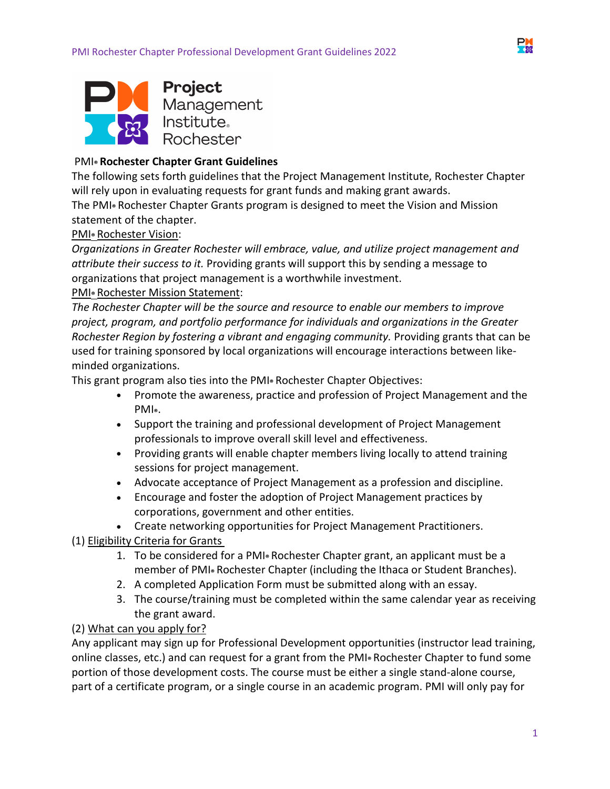



## PMI**® Rochester Chapter Grant Guidelines**

The following sets forth guidelines that the Project Management Institute, Rochester Chapter will rely upon in evaluating requests for grant funds and making grant awards.

The PMI**®** Rochester Chapter Grants program is designed to meet the Vision and Mission statement of the chapter.

### PMI**®** Rochester Vision:

*Organizations in Greater Rochester will embrace, value, and utilize project management and attribute their success to it.* Providing grants will support this by sending a message to organizations that project management is a worthwhile investment.

#### PMI**®** Rochester Mission Statement:

*The Rochester Chapter will be the source and resource to enable our members to improve project, program, and portfolio performance for individuals and organizations in the Greater Rochester Region by fostering a vibrant and engaging community.* Providing grants that can be used for training sponsored by local organizations will encourage interactions between likeminded organizations.

This grant program also ties into the PMI**®** Rochester Chapter Objectives:

- Promote the awareness, practice and profession of Project Management and the PMI**®**.
- Support the training and professional development of Project Management professionals to improve overall skill level and effectiveness.
- Providing grants will enable chapter members living locally to attend training sessions for project management.
- Advocate acceptance of Project Management as a profession and discipline.
- Encourage and foster the adoption of Project Management practices by corporations, government and other entities.
- Create networking opportunities for Project Management Practitioners.

### (1) Eligibility Criteria for Grants

- 1. To be considered for a PMI**®** Rochester Chapter grant, an applicant must be a member of PMI**®** Rochester Chapter (including the Ithaca or Student Branches).
- 2. A completed Application Form must be submitted along with an essay.
- 3. The course/training must be completed within the same calendar year as receiving the grant award.

### (2) What can you apply for?

Any applicant may sign up for Professional Development opportunities (instructor lead training, online classes, etc.) and can request for a grant from the PMI**®** Rochester Chapter to fund some portion of those development costs. The course must be either a single stand-alone course, part of a certificate program, or a single course in an academic program. PMI will only pay for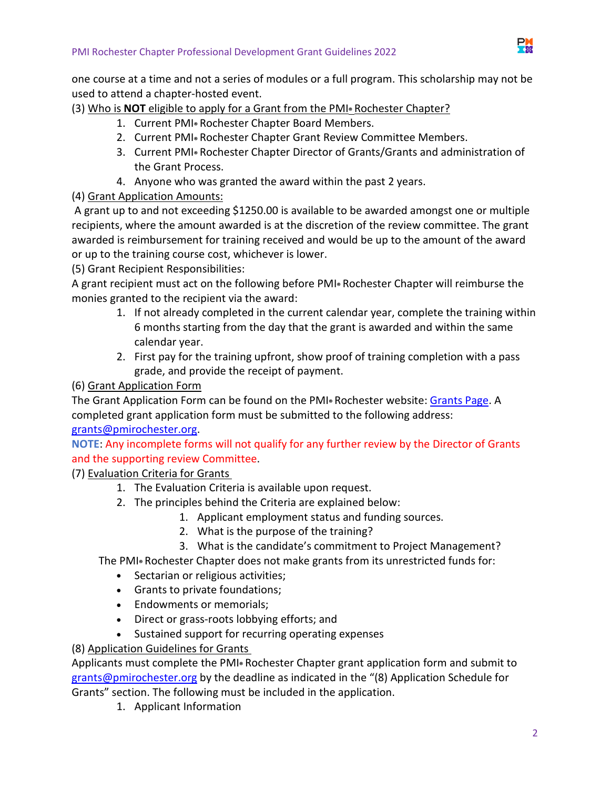

one course at a time and not a series of modules or a full program. This scholarship may not be used to attend a chapter-hosted event.

(3) Who is **NOT** eligible to apply for a Grant from the PMI**®** Rochester Chapter?

- 1. Current PMI**®** Rochester Chapter Board Members.
- 2. Current PMI**®** Rochester Chapter Grant Review Committee Members.
- 3. Current PMI**®** Rochester Chapter Director of Grants/Grants and administration of the Grant Process.
- 4. Anyone who was granted the award within the past 2 years.

## (4) Grant Application Amounts:

 A grant up to and not exceeding \$1250.00 is available to be awarded amongst one or multiple recipients, where the amount awarded is at the discretion of the review committee. The grant awarded is reimbursement for training received and would be up to the amount of the award or up to the training course cost, whichever is lower.

(5) Grant Recipient Responsibilities:

A grant recipient must act on the following before PMI**®** Rochester Chapter will reimburse the monies granted to the recipient via the award:

- 1. If not already completed in the current calendar year, complete the training within 6 months starting from the day that the grant is awarded and within the same calendar year.
- 2. First pay for the training upfront, show proof of training completion with a pass grade, and provide the receipt of payment.

## (6) Grant Application Form

The Grant Application Form can be found on the PMI**®** Rochester website: [Grants Page.](https://www.pmirochester.org/grants) A completed grant application form must be submitted to the following address:

[grants@pmirochester.org.](mailto:grants@pmirochester.org)

**NOTE**: Any incomplete forms will not qualify for any further review by the Director of Grants and the supporting review Committee.

(7) Evaluation Criteria for Grants

- 1. The Evaluation Criteria is available upon request.
- 2. The principles behind the Criteria are explained below:
	- 1. Applicant employment status and funding sources.
	- 2. What is the purpose of the training?
	- 3. What is the candidate's commitment to Project Management?

The PMI**®** Rochester Chapter does not make grants from its unrestricted funds for:

- Sectarian or religious activities;
- Grants to private foundations;
- **•** Endowments or memorials;
- Direct or grass-roots lobbying efforts; and
- Sustained support for recurring operating expenses
- (8) Application Guidelines for Grants

Applicants must complete the PMI**®** Rochester Chapter grant application form and submit to [grants@pmirochester.org](mailto:grants@pmirochester.org) by the deadline as indicated in the "(8) Application Schedule for Grants" section. The following must be included in the application.

1. Applicant Information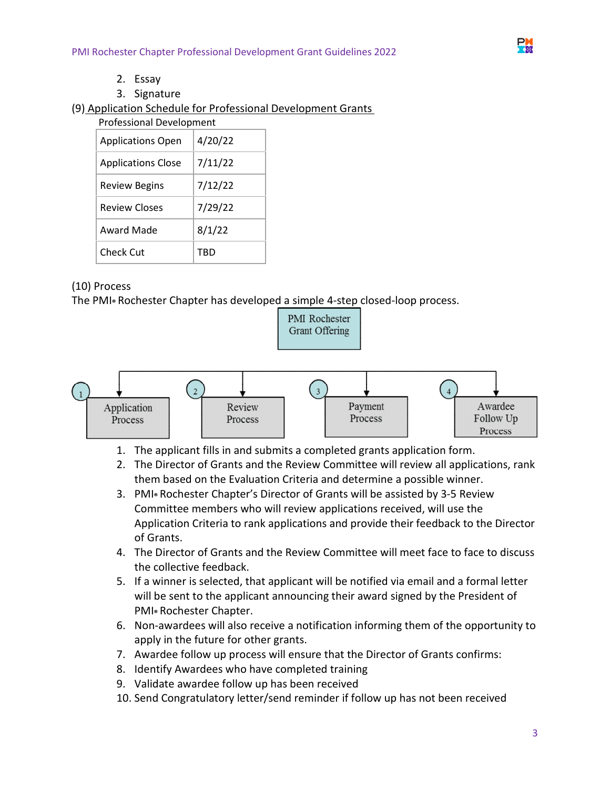

- 2. Essay
- 3. Signature

(9) Application Schedule for Professional Development Grants

| <b>Professional Development</b> |         |
|---------------------------------|---------|
| <b>Applications Open</b>        | 4/20/22 |
| <b>Applications Close</b>       | 7/11/22 |
| <b>Review Begins</b>            | 7/12/22 |
| <b>Review Closes</b>            | 7/29/22 |
| Award Made                      | 8/1/22  |
| Check Cut                       | TBD     |

### (10) Process

The PMI**®** Rochester Chapter has developed a simple 4-step closed-loop process.



- 1. The applicant fills in and submits a completed grants application form.
- 2. The Director of Grants and the Review Committee will review all applications, rank them based on the Evaluation Criteria and determine a possible winner.
- 3. PMI**®** Rochester Chapter's Director of Grants will be assisted by 3-5 Review Committee members who will review applications received, will use the Application Criteria to rank applications and provide their feedback to the Director of Grants.
- 4. The Director of Grants and the Review Committee will meet face to face to discuss the collective feedback.
- 5. If a winner is selected, that applicant will be notified via email and a formal letter will be sent to the applicant announcing their award signed by the President of PMI**®** Rochester Chapter.
- 6. Non-awardees will also receive a notification informing them of the opportunity to apply in the future for other grants.
- 7. Awardee follow up process will ensure that the Director of Grants confirms:
- 8. Identify Awardees who have completed training
- 9. Validate awardee follow up has been received
- 10. Send Congratulatory letter/send reminder if follow up has not been received